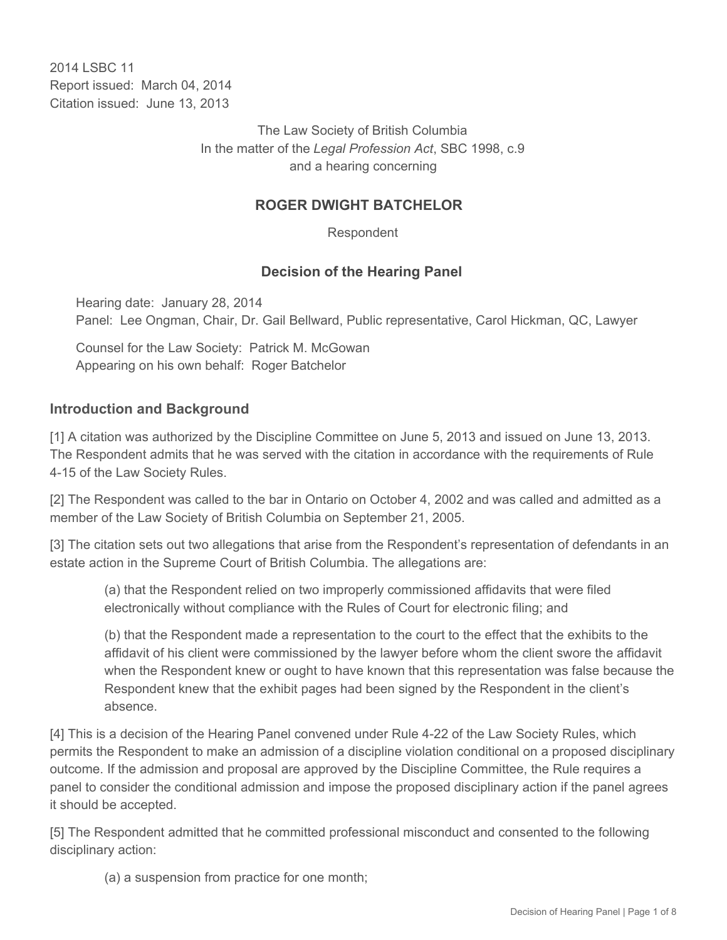2014 LSBC 11 Report issued: March 04, 2014 Citation issued: June 13, 2013

> The Law Society of British Columbia In the matter of the *Legal Profession Act*, SBC 1998, c.9 and a hearing concerning

## **ROGER DWIGHT BATCHELOR**

Respondent

#### **Decision of the Hearing Panel**

Hearing date: January 28, 2014 Panel: Lee Ongman, Chair, Dr. Gail Bellward, Public representative, Carol Hickman, QC, Lawyer

Counsel for the Law Society: Patrick M. McGowan Appearing on his own behalf: Roger Batchelor

#### **Introduction and Background**

[1] A citation was authorized by the Discipline Committee on June 5, 2013 and issued on June 13, 2013. The Respondent admits that he was served with the citation in accordance with the requirements of Rule 4-15 of the Law Society Rules.

[2] The Respondent was called to the bar in Ontario on October 4, 2002 and was called and admitted as a member of the Law Society of British Columbia on September 21, 2005.

[3] The citation sets out two allegations that arise from the Respondent's representation of defendants in an estate action in the Supreme Court of British Columbia. The allegations are:

(a) that the Respondent relied on two improperly commissioned affidavits that were filed electronically without compliance with the Rules of Court for electronic filing; and

(b) that the Respondent made a representation to the court to the effect that the exhibits to the affidavit of his client were commissioned by the lawyer before whom the client swore the affidavit when the Respondent knew or ought to have known that this representation was false because the Respondent knew that the exhibit pages had been signed by the Respondent in the client's absence.

[4] This is a decision of the Hearing Panel convened under Rule 4-22 of the Law Society Rules, which permits the Respondent to make an admission of a discipline violation conditional on a proposed disciplinary outcome. If the admission and proposal are approved by the Discipline Committee, the Rule requires a panel to consider the conditional admission and impose the proposed disciplinary action if the panel agrees it should be accepted.

[5] The Respondent admitted that he committed professional misconduct and consented to the following disciplinary action:

(a) a suspension from practice for one month;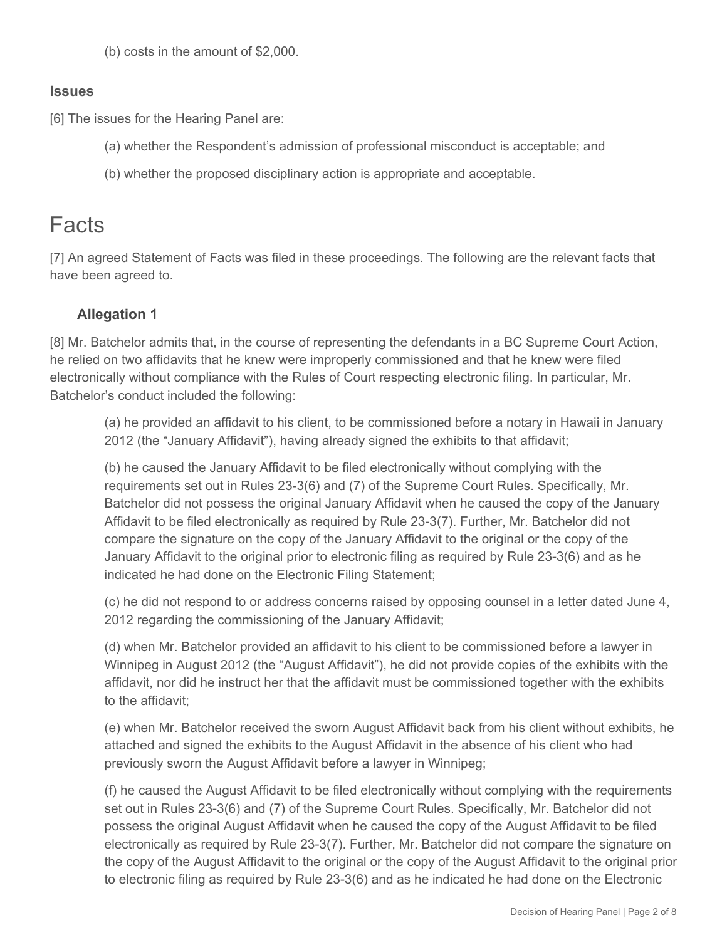(b) costs in the amount of \$2,000.

#### **Issues**

[6] The issues for the Hearing Panel are:

- (a) whether the Respondent's admission of professional misconduct is acceptable; and
- (b) whether the proposed disciplinary action is appropriate and acceptable.

# Facts

[7] An agreed Statement of Facts was filed in these proceedings. The following are the relevant facts that have been agreed to.

## **Allegation 1**

[8] Mr. Batchelor admits that, in the course of representing the defendants in a BC Supreme Court Action, he relied on two affidavits that he knew were improperly commissioned and that he knew were filed electronically without compliance with the Rules of Court respecting electronic filing. In particular, Mr. Batchelor's conduct included the following:

(a) he provided an affidavit to his client, to be commissioned before a notary in Hawaii in January 2012 (the "January Affidavit"), having already signed the exhibits to that affidavit;

(b) he caused the January Affidavit to be filed electronically without complying with the requirements set out in Rules 23-3(6) and (7) of the Supreme Court Rules. Specifically, Mr. Batchelor did not possess the original January Affidavit when he caused the copy of the January Affidavit to be filed electronically as required by Rule 23-3(7). Further, Mr. Batchelor did not compare the signature on the copy of the January Affidavit to the original or the copy of the January Affidavit to the original prior to electronic filing as required by Rule 23-3(6) and as he indicated he had done on the Electronic Filing Statement;

(c) he did not respond to or address concerns raised by opposing counsel in a letter dated June 4, 2012 regarding the commissioning of the January Affidavit;

(d) when Mr. Batchelor provided an affidavit to his client to be commissioned before a lawyer in Winnipeg in August 2012 (the "August Affidavit"), he did not provide copies of the exhibits with the affidavit, nor did he instruct her that the affidavit must be commissioned together with the exhibits to the affidavit;

(e) when Mr. Batchelor received the sworn August Affidavit back from his client without exhibits, he attached and signed the exhibits to the August Affidavit in the absence of his client who had previously sworn the August Affidavit before a lawyer in Winnipeg;

(f) he caused the August Affidavit to be filed electronically without complying with the requirements set out in Rules 23-3(6) and (7) of the Supreme Court Rules. Specifically, Mr. Batchelor did not possess the original August Affidavit when he caused the copy of the August Affidavit to be filed electronically as required by Rule 23-3(7). Further, Mr. Batchelor did not compare the signature on the copy of the August Affidavit to the original or the copy of the August Affidavit to the original prior to electronic filing as required by Rule 23-3(6) and as he indicated he had done on the Electronic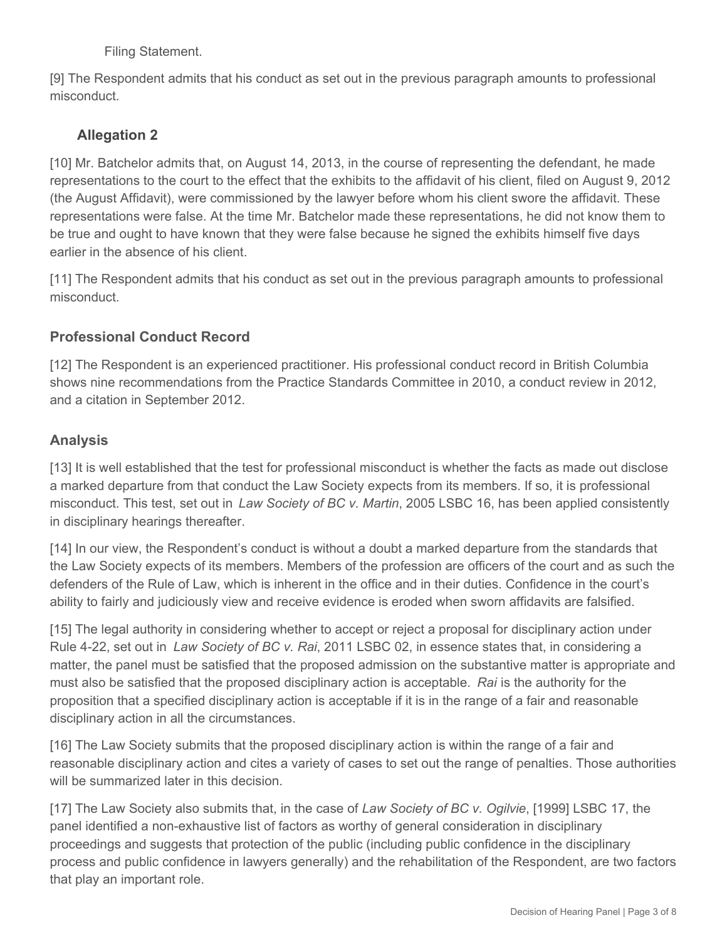Filing Statement.

[9] The Respondent admits that his conduct as set out in the previous paragraph amounts to professional misconduct.

# **Allegation 2**

[10] Mr. Batchelor admits that, on August 14, 2013, in the course of representing the defendant, he made representations to the court to the effect that the exhibits to the affidavit of his client, filed on August 9, 2012 (the August Affidavit), were commissioned by the lawyer before whom his client swore the affidavit. These representations were false. At the time Mr. Batchelor made these representations, he did not know them to be true and ought to have known that they were false because he signed the exhibits himself five days earlier in the absence of his client.

[11] The Respondent admits that his conduct as set out in the previous paragraph amounts to professional misconduct.

# **Professional Conduct Record**

[12] The Respondent is an experienced practitioner. His professional conduct record in British Columbia shows nine recommendations from the Practice Standards Committee in 2010, a conduct review in 2012, and a citation in September 2012.

# **Analysis**

[13] It is well established that the test for professional misconduct is whether the facts as made out disclose a marked departure from that conduct the Law Society expects from its members. If so, it is professional misconduct. This test, set out in *Law Society of BC v. Martin*, 2005 LSBC 16, has been applied consistently in disciplinary hearings thereafter.

[14] In our view, the Respondent's conduct is without a doubt a marked departure from the standards that the Law Society expects of its members. Members of the profession are officers of the court and as such the defenders of the Rule of Law, which is inherent in the office and in their duties. Confidence in the court's ability to fairly and judiciously view and receive evidence is eroded when sworn affidavits are falsified.

[15] The legal authority in considering whether to accept or reject a proposal for disciplinary action under Rule 4-22, set out in *Law Society of BC v. Rai*, 2011 LSBC 02, in essence states that, in considering a matter, the panel must be satisfied that the proposed admission on the substantive matter is appropriate and must also be satisfied that the proposed disciplinary action is acceptable. *Rai* is the authority for the proposition that a specified disciplinary action is acceptable if it is in the range of a fair and reasonable disciplinary action in all the circumstances.

[16] The Law Society submits that the proposed disciplinary action is within the range of a fair and reasonable disciplinary action and cites a variety of cases to set out the range of penalties. Those authorities will be summarized later in this decision.

[17] The Law Society also submits that, in the case of *Law Society of BC v. Ogilvie*, [1999] LSBC 17, the panel identified a non-exhaustive list of factors as worthy of general consideration in disciplinary proceedings and suggests that protection of the public (including public confidence in the disciplinary process and public confidence in lawyers generally) and the rehabilitation of the Respondent, are two factors that play an important role.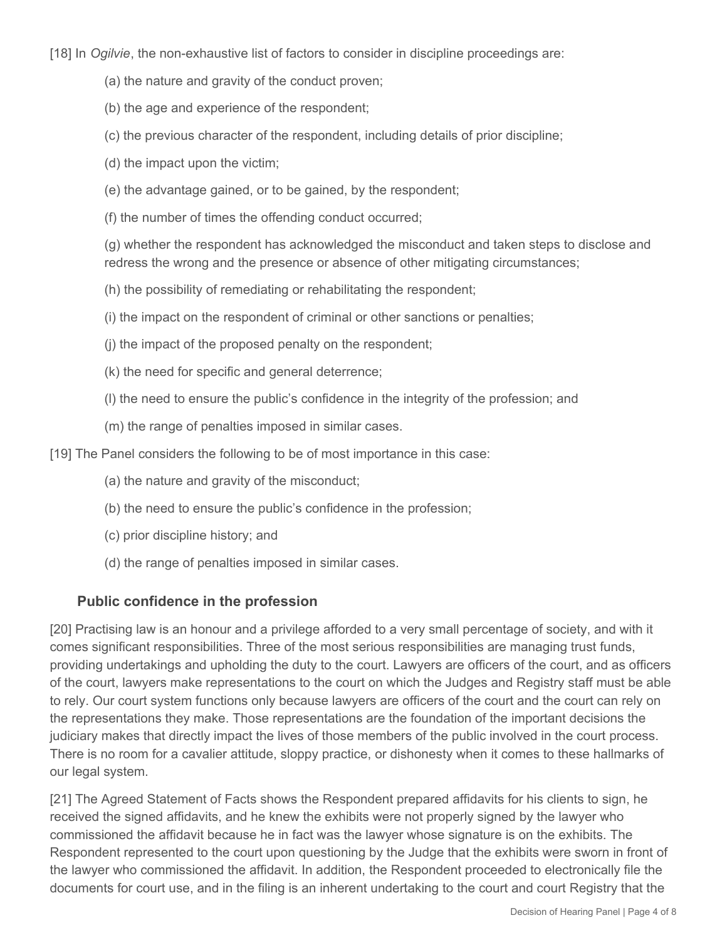[18] In *Ogilvie*, the non-exhaustive list of factors to consider in discipline proceedings are:

- (a) the nature and gravity of the conduct proven;
- (b) the age and experience of the respondent;
- (c) the previous character of the respondent, including details of prior discipline;
- (d) the impact upon the victim;
- (e) the advantage gained, or to be gained, by the respondent;
- (f) the number of times the offending conduct occurred;

(g) whether the respondent has acknowledged the misconduct and taken steps to disclose and redress the wrong and the presence or absence of other mitigating circumstances;

(h) the possibility of remediating or rehabilitating the respondent;

(i) the impact on the respondent of criminal or other sanctions or penalties;

- (j) the impact of the proposed penalty on the respondent;
- (k) the need for specific and general deterrence;
- (l) the need to ensure the public's confidence in the integrity of the profession; and
- (m) the range of penalties imposed in similar cases.

[19] The Panel considers the following to be of most importance in this case:

- (a) the nature and gravity of the misconduct;
- (b) the need to ensure the public's confidence in the profession;
- (c) prior discipline history; and
- (d) the range of penalties imposed in similar cases.

#### **Public confidence in the profession**

[20] Practising law is an honour and a privilege afforded to a very small percentage of society, and with it comes significant responsibilities. Three of the most serious responsibilities are managing trust funds, providing undertakings and upholding the duty to the court. Lawyers are officers of the court, and as officers of the court, lawyers make representations to the court on which the Judges and Registry staff must be able to rely. Our court system functions only because lawyers are officers of the court and the court can rely on the representations they make. Those representations are the foundation of the important decisions the judiciary makes that directly impact the lives of those members of the public involved in the court process. There is no room for a cavalier attitude, sloppy practice, or dishonesty when it comes to these hallmarks of our legal system.

[21] The Agreed Statement of Facts shows the Respondent prepared affidavits for his clients to sign, he received the signed affidavits, and he knew the exhibits were not properly signed by the lawyer who commissioned the affidavit because he in fact was the lawyer whose signature is on the exhibits. The Respondent represented to the court upon questioning by the Judge that the exhibits were sworn in front of the lawyer who commissioned the affidavit. In addition, the Respondent proceeded to electronically file the documents for court use, and in the filing is an inherent undertaking to the court and court Registry that the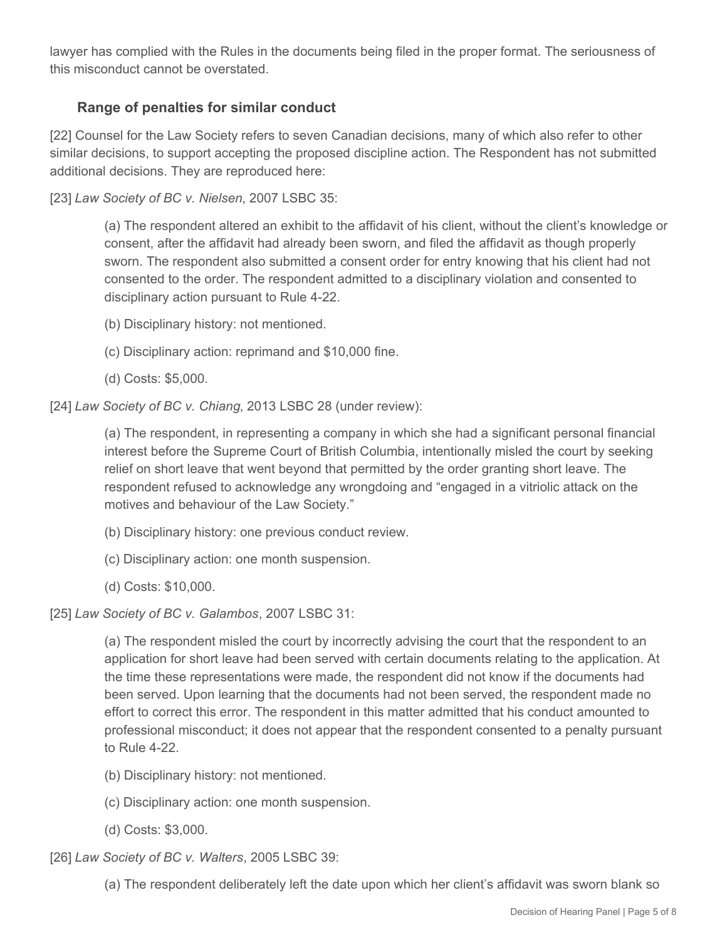lawyer has complied with the Rules in the documents being filed in the proper format. The seriousness of this misconduct cannot be overstated.

## **Range of penalties for similar conduct**

[22] Counsel for the Law Society refers to seven Canadian decisions, many of which also refer to other similar decisions, to support accepting the proposed discipline action. The Respondent has not submitted additional decisions. They are reproduced here:

[23] *Law Society of BC v. Nielsen*, 2007 LSBC 35:

(a) The respondent altered an exhibit to the affidavit of his client, without the client's knowledge or consent, after the affidavit had already been sworn, and filed the affidavit as though properly sworn. The respondent also submitted a consent order for entry knowing that his client had not consented to the order. The respondent admitted to a disciplinary violation and consented to disciplinary action pursuant to Rule 4-22.

- (b) Disciplinary history: not mentioned.
- (c) Disciplinary action: reprimand and \$10,000 fine.
- (d) Costs: \$5,000.

[24] *Law Society of BC v. Chiang*, 2013 LSBC 28 (under review):

(a) The respondent, in representing a company in which she had a significant personal financial interest before the Supreme Court of British Columbia, intentionally misled the court by seeking relief on short leave that went beyond that permitted by the order granting short leave. The respondent refused to acknowledge any wrongdoing and "engaged in a vitriolic attack on the motives and behaviour of the Law Society."

- (b) Disciplinary history: one previous conduct review.
- (c) Disciplinary action: one month suspension.
- (d) Costs: \$10,000.

[25] *Law Society of BC v. Galambos*, 2007 LSBC 31:

(a) The respondent misled the court by incorrectly advising the court that the respondent to an application for short leave had been served with certain documents relating to the application. At the time these representations were made, the respondent did not know if the documents had been served. Upon learning that the documents had not been served, the respondent made no effort to correct this error. The respondent in this matter admitted that his conduct amounted to professional misconduct; it does not appear that the respondent consented to a penalty pursuant to Rule 4-22.

- (b) Disciplinary history: not mentioned.
- (c) Disciplinary action: one month suspension.
- (d) Costs: \$3,000.

[26] *Law Society of BC v. Walters*, 2005 LSBC 39:

(a) The respondent deliberately left the date upon which her client's affidavit was sworn blank so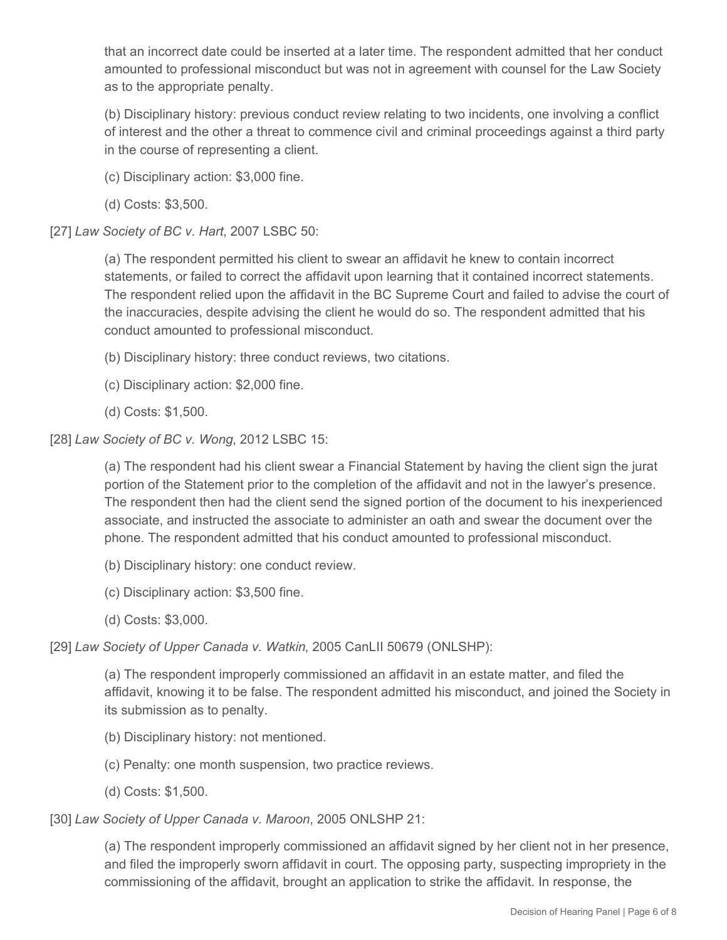that an incorrect date could be inserted at a later time. The respondent admitted that her conduct amounted to professional misconduct but was not in agreement with counsel for the Law Society as to the appropriate penalty.

(b) Disciplinary history: previous conduct review relating to two incidents, one involving a conflict of interest and the other a threat to commence civil and criminal proceedings against a third party in the course of representing a client.

(c) Disciplinary action: \$3,000 fine.

(d) Costs: \$3,500.

[27] *Law Society of BC v. Hart*, 2007 LSBC 50:

(a) The respondent permitted his client to swear an affidavit he knew to contain incorrect statements, or failed to correct the affidavit upon learning that it contained incorrect statements. The respondent relied upon the affidavit in the BC Supreme Court and failed to advise the court of the inaccuracies, despite advising the client he would do so. The respondent admitted that his conduct amounted to professional misconduct.

(b) Disciplinary history: three conduct reviews, two citations.

(c) Disciplinary action: \$2,000 fine.

(d) Costs: \$1,500.

[28] *Law Society of BC v. Wong*, 2012 LSBC 15:

(a) The respondent had his client swear a Financial Statement by having the client sign the jurat portion of the Statement prior to the completion of the affidavit and not in the lawyer's presence. The respondent then had the client send the signed portion of the document to his inexperienced associate, and instructed the associate to administer an oath and swear the document over the phone. The respondent admitted that his conduct amounted to professional misconduct.

(b) Disciplinary history: one conduct review.

(c) Disciplinary action: \$3,500 fine.

(d) Costs: \$3,000.

[29] *Law Society of Upper Canada v. Watkin*, 2005 CanLII 50679 (ONLSHP):

(a) The respondent improperly commissioned an affidavit in an estate matter, and filed the affidavit, knowing it to be false. The respondent admitted his misconduct, and joined the Society in its submission as to penalty.

- (b) Disciplinary history: not mentioned.
- (c) Penalty: one month suspension, two practice reviews.
- (d) Costs: \$1,500.

[30] *Law Society of Upper Canada v. Maroon*, 2005 ONLSHP 21:

(a) The respondent improperly commissioned an affidavit signed by her client not in her presence, and filed the improperly sworn affidavit in court. The opposing party, suspecting impropriety in the commissioning of the affidavit, brought an application to strike the affidavit. In response, the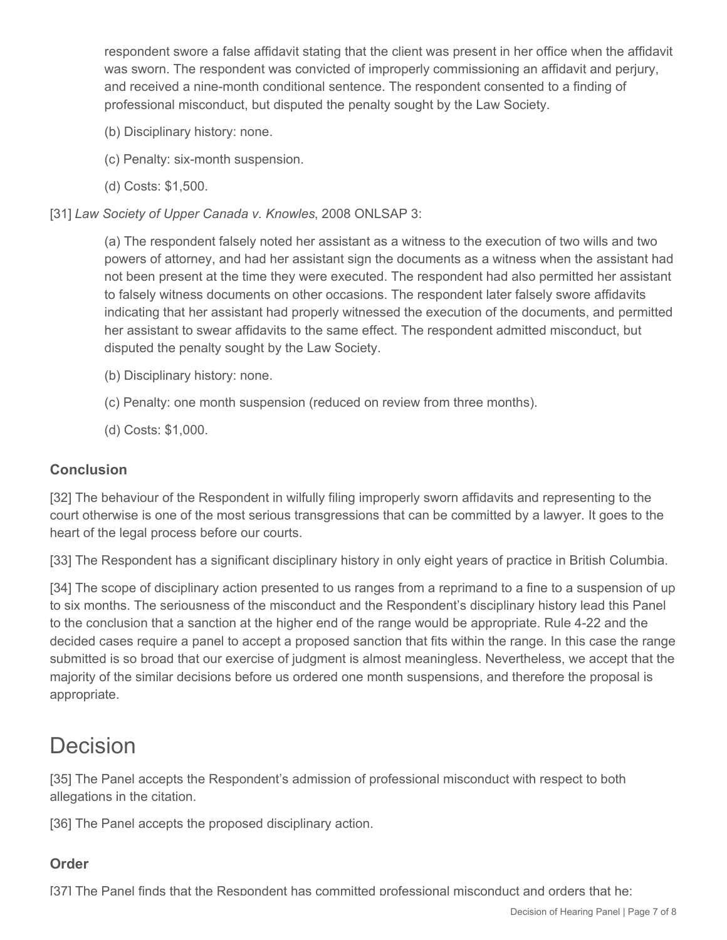respondent swore a false affidavit stating that the client was present in her office when the affidavit was sworn. The respondent was convicted of improperly commissioning an affidavit and perjury, and received a nine-month conditional sentence. The respondent consented to a finding of professional misconduct, but disputed the penalty sought by the Law Society.

- (b) Disciplinary history: none.
- (c) Penalty: six-month suspension.
- (d) Costs: \$1,500.

[31] *Law Society of Upper Canada v. Knowles*, 2008 ONLSAP 3:

(a) The respondent falsely noted her assistant as a witness to the execution of two wills and two powers of attorney, and had her assistant sign the documents as a witness when the assistant had not been present at the time they were executed. The respondent had also permitted her assistant to falsely witness documents on other occasions. The respondent later falsely swore affidavits indicating that her assistant had properly witnessed the execution of the documents, and permitted her assistant to swear affidavits to the same effect. The respondent admitted misconduct, but disputed the penalty sought by the Law Society.

- (b) Disciplinary history: none.
- (c) Penalty: one month suspension (reduced on review from three months).
- (d) Costs: \$1,000.

### **Conclusion**

[32] The behaviour of the Respondent in wilfully filing improperly sworn affidavits and representing to the court otherwise is one of the most serious transgressions that can be committed by a lawyer. It goes to the heart of the legal process before our courts.

[33] The Respondent has a significant disciplinary history in only eight years of practice in British Columbia.

[34] The scope of disciplinary action presented to us ranges from a reprimand to a fine to a suspension of up to six months. The seriousness of the misconduct and the Respondent's disciplinary history lead this Panel to the conclusion that a sanction at the higher end of the range would be appropriate. Rule 4-22 and the decided cases require a panel to accept a proposed sanction that fits within the range. In this case the range submitted is so broad that our exercise of judgment is almost meaningless. Nevertheless, we accept that the majority of the similar decisions before us ordered one month suspensions, and therefore the proposal is appropriate.

# Decision

[35] The Panel accepts the Respondent's admission of professional misconduct with respect to both allegations in the citation.

[36] The Panel accepts the proposed disciplinary action.

## **Order**

[37] The Panel finds that the Respondent has committed professional misconduct and orders that he: